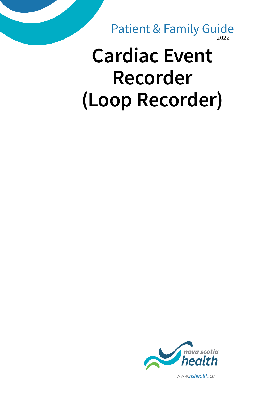2022 Patient & Family Guide

# **Cardiac Event Recorder (Loop Recorder)**



*www.nshealth.ca*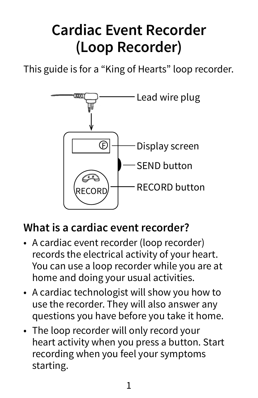## **Cardiac Event Recorder (Loop Recorder)**

This guide is for a "King of Hearts" loop recorder.



#### **What is a cardiac event recorder?**

- A cardiac event recorder (loop recorder) records the electrical activity of your heart. You can use a loop recorder while you are at home and doing your usual activities.
- A cardiac technologist will show you how to use the recorder. They will also answer any questions you have before you take it home.
- The loop recorder will only record your heart activity when you press a button. Start recording when you feel your symptoms starting.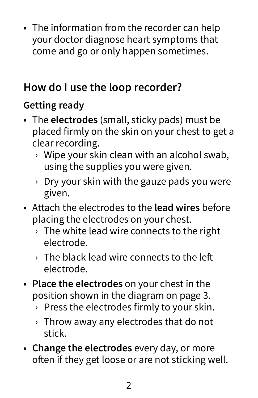• The information from the recorder can help your doctor diagnose heart symptoms that come and go or only happen sometimes.

### **How do I use the loop recorder?**

#### **Getting ready**

- The **electrodes** (small, sticky pads) must be placed firmly on the skin on your chest to get a clear recording.
	- › Wipe your skin clean with an alcohol swab, using the supplies you were given.
	- $\rightarrow$  Dry your skin with the gauze pads you were given.
- Attach the electrodes to the **lead wires** before placing the electrodes on your chest.
	- $\rightarrow$  The white lead wire connects to the right electrode.
	- › The black lead wire connects to the left electrode.
- **Place the electrodes** on your chest in the position shown in the diagram on page 3.
	- › Press the electrodes firmly to your skin.
	- $\rightarrow$  Throw away any electrodes that do not stick.
- **Change the electrodes** every day, or more often if they get loose or are not sticking well.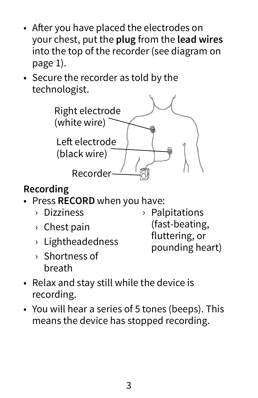- After you have placed the electrodes on your chest, put the **plug** from the **lead wires** into the top of the recorder (see diagram on page 1).
- Secure the recorder as told by the technologist.



#### **Recording**

- Press **RECORD** when you have:
	- › Dizziness
	- › Chest pain
	- › Lightheadedness
	- › Shortness of breath
- › Palpitations (fast-beating, fluttering, or pounding heart)
- Relax and stay still while the device is recording.
- You will hear a series of 5 tones (beeps). This means the device has stopped recording.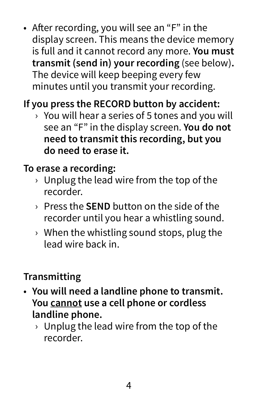• After recording, you will see an "F" in the display screen. This means the device memory is full and it cannot record any more. **You must transmit (send in) your recording** (see below)**.** The device will keep beeping every few minutes until you transmit your recording.

#### **If you press the RECORD button by accident:**

 $\rightarrow$  You will hear a series of 5 tones and you will see an "F" in the display screen. **You do not need to transmit this recording, but you do need to erase it.**

#### **To erase a recording:**

- $\rightarrow$  Unplug the lead wire from the top of the recorder.
- › Press the **SEND** button on the side of the recorder until you hear a whistling sound.
- $\rightarrow$  When the whistling sound stops, plug the lead wire back in.

#### **Transmitting**

- **You will need a landline phone to transmit. You cannot use a cell phone or cordless landline phone.**
	- $\rightarrow$  Unplug the lead wire from the top of the recorder.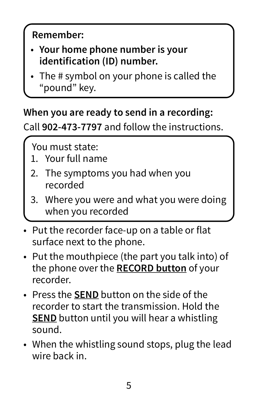#### **Remember:**

- **Your home phone number is your identification (ID) number.**
- The # symbol on your phone is called the "pound" key.

#### **When you are ready to send in a recording:**

Call **902-473-7797** and follow the instructions.

You must state:

- 1. Your full name
- 2. The symptoms you had when you recorded
- 3. Where you were and what you were doing when you recorded
- Put the recorder face-up on a table or flat surface next to the phone.
- Put the mouthpiece (the part you talk into) of the phone over the **RECORD button** of your recorder.
- Press the **SEND** button on the side of the recorder to start the transmission. Hold the **SEND** button until you will hear a whistling sound.
- When the whistling sound stops, plug the lead wire back in.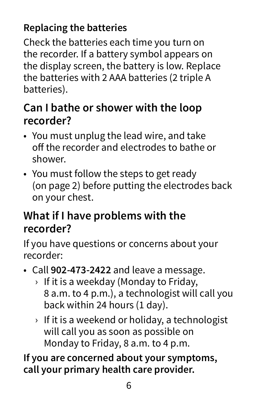#### **Replacing the batteries**

Check the batteries each time you turn on the recorder. If a battery symbol appears on the display screen, the battery is low. Replace the batteries with 2 AAA batteries (2 triple A batteries).

#### **Can I bathe or shower with the loop recorder?**

- You must unplug the lead wire, and take off the recorder and electrodes to bathe or shower.
- You must follow the steps to get ready (on page 2) before putting the electrodes back on your chest.

#### **What if I have problems with the recorder?**

If you have questions or concerns about your recorder:

- Call **902-473-2422** and leave a message.
	- › If it is a weekday (Monday to Friday, 8 a.m. to 4 p.m.), a technologist will call you back within 24 hours (1 day).
	- $\rightarrow$  If it is a weekend or holiday, a technologist will call you as soon as possible on Monday to Friday, 8 a.m. to 4 p.m.

**If you are concerned about your symptoms, call your primary health care provider.**